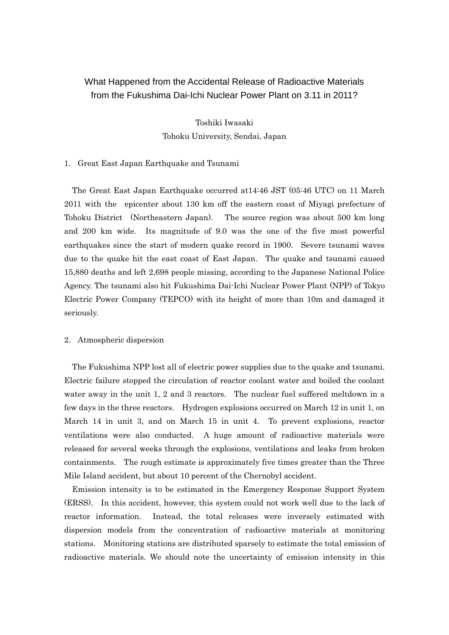# What Happened from the Accidental Release of Radioactive Materials from the Fukushima Dai-Ichi Nuclear Power Plant on 3.11 in 2011?

Toshiki Iwasaki Tohoku University, Sendai, Japan

## 1. Great East Japan Earthquake and Tsunami

The Great East Japan Earthquake occurred at14:46 JST (05:46 UTC) on 11 March 2011 with the epicenter about 130 km off the eastern coast of Miyagi prefecture of Tohoku District (Northeastern Japan). The source region was about 500 km long and 200 km wide. Its magnitude of 9.0 was the one of the five most powerful earthquakes since the start of modern quake record in 1900. Severe tsunami waves due to the quake hit the east coast of East Japan. The quake and tsunami caused 15,880 deaths and left 2,698 people missing, according to the Japanese National Police Agency. The tsunami also hit Fukushima Dai-Ichi Nuclear Power Plant (NPP) of Tokyo Electric Power Company (TEPCO) with its height of more than 10m and damaged it seriously.

#### 2. Atmospheric dispersion

The Fukushima NPP lost all of electric power supplies due to the quake and tsunami. Electric failure stopped the circulation of reactor coolant water and boiled the coolant water away in the unit 1, 2 and 3 reactors. The nuclear fuel suffered meltdown in a few days in the three reactors. Hydrogen explosions occurred on March 12 in unit 1, on March 14 in unit 3, and on March 15 in unit 4. To prevent explosions, reactor ventilations were also conducted. A huge amount of radioactive materials were released for several weeks through the explosions, ventilations and leaks from broken containments. The rough estimate is approximately five times greater than the Three Mile Island accident, but about 10 percent of the Chernobyl accident.

Emission intensity is to be estimated in the Emergency Response Support System (ERSS). In this accident, however, this system could not work well due to the lack of reactor information. Instead, the total releases were inversely estimated with dispersion models from the concentration of radioactive materials at monitoring stations. Monitoring stations are distributed sparsely to estimate the total emission of radioactive materials. We should note the uncertainty of emission intensity in this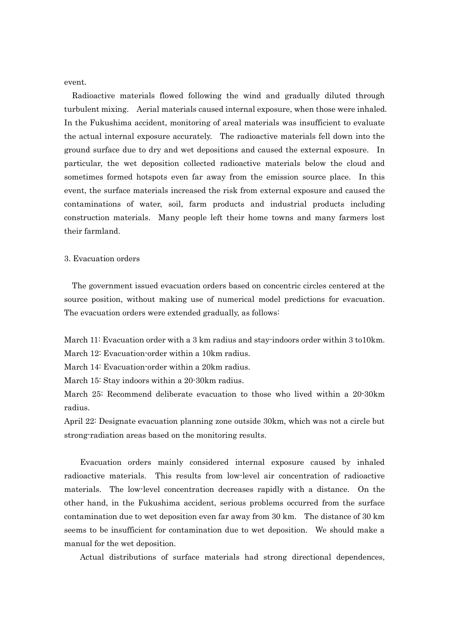event.

Radioactive materials flowed following the wind and gradually diluted through turbulent mixing. Aerial materials caused internal exposure, when those were inhaled. In the Fukushima accident, monitoring of areal materials was insufficient to evaluate the actual internal exposure accurately. The radioactive materials fell down into the ground surface due to dry and wet depositions and caused the external exposure. In particular, the wet deposition collected radioactive materials below the cloud and sometimes formed hotspots even far away from the emission source place. In this event, the surface materials increased the risk from external exposure and caused the contaminations of water, soil, farm products and industrial products including construction materials. Many people left their home towns and many farmers lost their farmland.

### 3. Evacuation orders

The government issued evacuation orders based on concentric circles centered at the source position, without making use of numerical model predictions for evacuation. The evacuation orders were extended gradually, as follows:

March 11: Evacuation order with a 3 km radius and stay-indoors order within 3 to10km. March 12: Evacuation-order within a 10km radius.

March 14: Evacuation-order within a 20km radius.

March 15: Stay indoors within a 20-30km radius.

March 25: Recommend deliberate evacuation to those who lived within a 20-30km radius.

April 22: Designate evacuation planning zone outside 30km, which was not a circle but strong-radiation areas based on the monitoring results.

Evacuation orders mainly considered internal exposure caused by inhaled radioactive materials. This results from low-level air concentration of radioactive materials. The low-level concentration decreases rapidly with a distance. On the other hand, in the Fukushima accident, serious problems occurred from the surface contamination due to wet deposition even far away from 30 km. The distance of 30 km seems to be insufficient for contamination due to wet deposition. We should make a manual for the wet deposition.

Actual distributions of surface materials had strong directional dependences,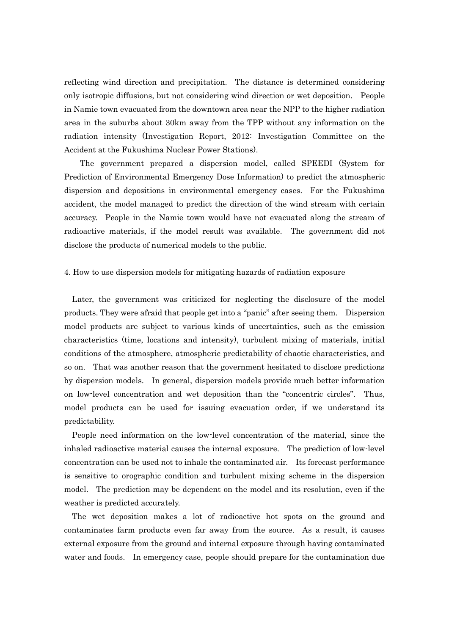reflecting wind direction and precipitation. The distance is determined considering only isotropic diffusions, but not considering wind direction or wet deposition. People in Namie town evacuated from the downtown area near the NPP to the higher radiation area in the suburbs about 30km away from the TPP without any information on the radiation intensity (Investigation Report, 2012: Investigation Committee on the Accident at the Fukushima Nuclear Power Stations).

The government prepared a dispersion model, called SPEEDI (System for Prediction of Environmental Emergency Dose Information) to predict the atmospheric dispersion and depositions in environmental emergency cases. For the Fukushima accident, the model managed to predict the direction of the wind stream with certain accuracy. People in the Namie town would have not evacuated along the stream of radioactive materials, if the model result was available. The government did not disclose the products of numerical models to the public.

#### 4. How to use dispersion models for mitigating hazards of radiation exposure

Later, the government was criticized for neglecting the disclosure of the model products. They were afraid that people get into a "panic" after seeing them. Dispersion model products are subject to various kinds of uncertainties, such as the emission characteristics (time, locations and intensity), turbulent mixing of materials, initial conditions of the atmosphere, atmospheric predictability of chaotic characteristics, and so on. That was another reason that the government hesitated to disclose predictions by dispersion models. In general, dispersion models provide much better information on low-level concentration and wet deposition than the "concentric circles". Thus, model products can be used for issuing evacuation order, if we understand its predictability.

People need information on the low-level concentration of the material, since the inhaled radioactive material causes the internal exposure. The prediction of low-level concentration can be used not to inhale the contaminated air. Its forecast performance is sensitive to orographic condition and turbulent mixing scheme in the dispersion model. The prediction may be dependent on the model and its resolution, even if the weather is predicted accurately.

The wet deposition makes a lot of radioactive hot spots on the ground and contaminates farm products even far away from the source. As a result, it causes external exposure from the ground and internal exposure through having contaminated water and foods. In emergency case, people should prepare for the contamination due